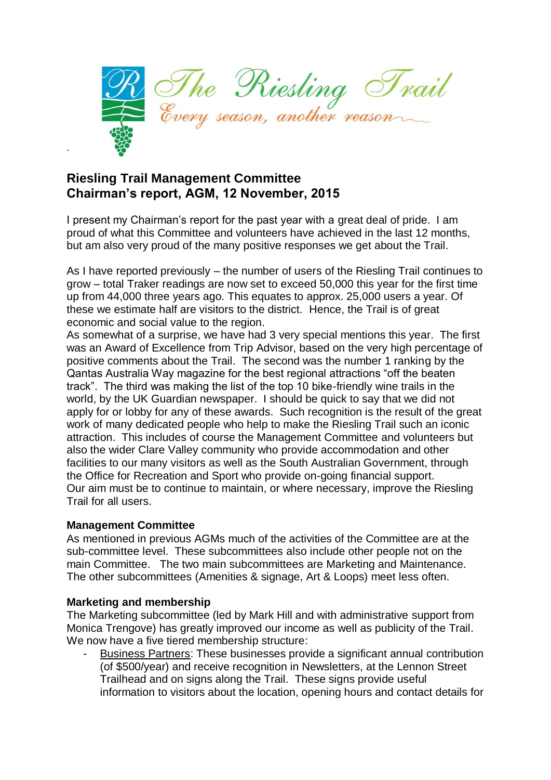

# **Riesling Trail Management Committee Chairman's report, AGM, 12 November, 2015**

I present my Chairman's report for the past year with a great deal of pride. I am proud of what this Committee and volunteers have achieved in the last 12 months, but am also very proud of the many positive responses we get about the Trail.

As I have reported previously – the number of users of the Riesling Trail continues to grow – total Traker readings are now set to exceed 50,000 this year for the first time up from 44,000 three years ago. This equates to approx. 25,000 users a year. Of these we estimate half are visitors to the district. Hence, the Trail is of great economic and social value to the region.

As somewhat of a surprise, we have had 3 very special mentions this year. The first was an Award of Excellence from Trip Advisor, based on the very high percentage of positive comments about the Trail. The second was the number 1 ranking by the Qantas Australia Way magazine for the best regional attractions "off the beaten track". The third was making the list of the top 10 bike-friendly wine trails in the world, by the UK Guardian newspaper. I should be quick to say that we did not apply for or lobby for any of these awards. Such recognition is the result of the great work of many dedicated people who help to make the Riesling Trail such an iconic attraction. This includes of course the Management Committee and volunteers but also the wider Clare Valley community who provide accommodation and other facilities to our many visitors as well as the South Australian Government, through the Office for Recreation and Sport who provide on-going financial support. Our aim must be to continue to maintain, or where necessary, improve the Riesling Trail for all users.

#### **Management Committee**

`

As mentioned in previous AGMs much of the activities of the Committee are at the sub-committee level. These subcommittees also include other people not on the main Committee. The two main subcommittees are Marketing and Maintenance. The other subcommittees (Amenities & signage, Art & Loops) meet less often.

#### **Marketing and membership**

The Marketing subcommittee (led by Mark Hill and with administrative support from Monica Trengove) has greatly improved our income as well as publicity of the Trail. We now have a five tiered membership structure:

- Business Partners: These businesses provide a significant annual contribution (of \$500/year) and receive recognition in Newsletters, at the Lennon Street Trailhead and on signs along the Trail. These signs provide useful information to visitors about the location, opening hours and contact details for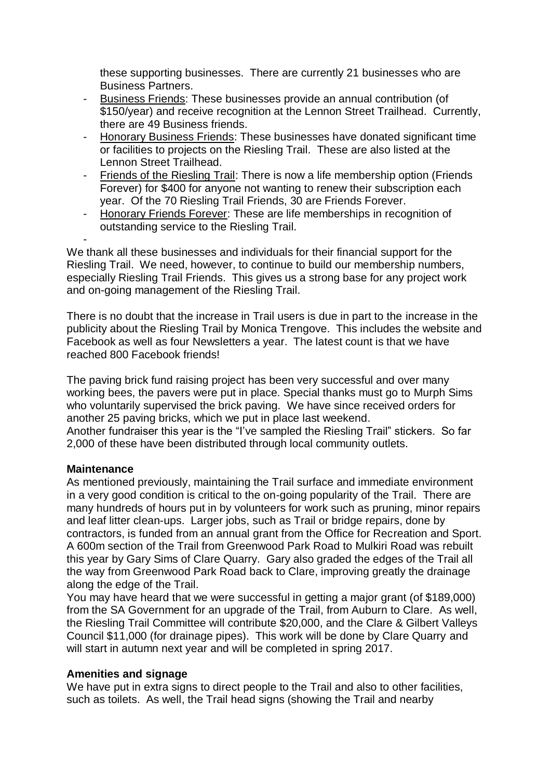these supporting businesses. There are currently 21 businesses who are Business Partners.

- Business Friends: These businesses provide an annual contribution (of \$150/year) and receive recognition at the Lennon Street Trailhead. Currently, there are 49 Business friends.
- Honorary Business Friends: These businesses have donated significant time or facilities to projects on the Riesling Trail. These are also listed at the Lennon Street Trailhead.
- Friends of the Riesling Trail: There is now a life membership option (Friends Forever) for \$400 for anyone not wanting to renew their subscription each year. Of the 70 Riesling Trail Friends, 30 are Friends Forever.
- Honorary Friends Forever: These are life memberships in recognition of outstanding service to the Riesling Trail.

We thank all these businesses and individuals for their financial support for the Riesling Trail. We need, however, to continue to build our membership numbers, especially Riesling Trail Friends. This gives us a strong base for any project work and on-going management of the Riesling Trail.

There is no doubt that the increase in Trail users is due in part to the increase in the publicity about the Riesling Trail by Monica Trengove. This includes the website and Facebook as well as four Newsletters a year. The latest count is that we have reached 800 Facebook friends!

The paving brick fund raising project has been very successful and over many working bees, the pavers were put in place. Special thanks must go to Murph Sims who voluntarily supervised the brick paving. We have since received orders for another 25 paving bricks, which we put in place last weekend. Another fundraiser this year is the "I've sampled the Riesling Trail" stickers. So far 2,000 of these have been distributed through local community outlets.

### **Maintenance**

-

As mentioned previously, maintaining the Trail surface and immediate environment in a very good condition is critical to the on-going popularity of the Trail. There are many hundreds of hours put in by volunteers for work such as pruning, minor repairs and leaf litter clean-ups. Larger jobs, such as Trail or bridge repairs, done by contractors, is funded from an annual grant from the Office for Recreation and Sport. A 600m section of the Trail from Greenwood Park Road to Mulkiri Road was rebuilt this year by Gary Sims of Clare Quarry. Gary also graded the edges of the Trail all the way from Greenwood Park Road back to Clare, improving greatly the drainage along the edge of the Trail.

You may have heard that we were successful in getting a major grant (of \$189,000) from the SA Government for an upgrade of the Trail, from Auburn to Clare. As well, the Riesling Trail Committee will contribute \$20,000, and the Clare & Gilbert Valleys Council \$11,000 (for drainage pipes). This work will be done by Clare Quarry and will start in autumn next year and will be completed in spring 2017.

### **Amenities and signage**

We have put in extra signs to direct people to the Trail and also to other facilities, such as toilets. As well, the Trail head signs (showing the Trail and nearby